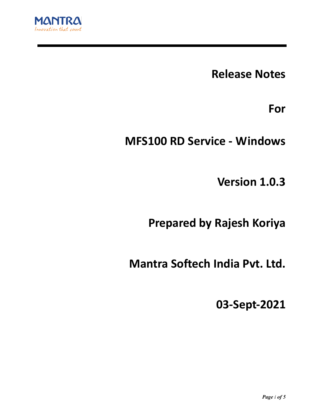

**Release Notes**

**For**

**MFS100 RD Service - Windows**

**Version 1.0.3**

**Prepared by Rajesh Koriya**

**Mantra Softech India Pvt. Ltd.**

**03-Sept-2021**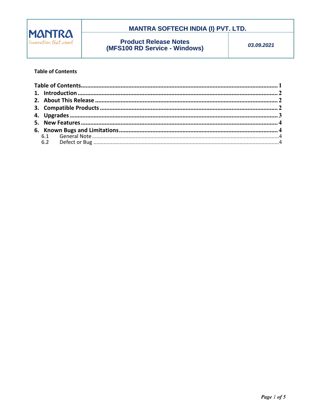

## **MANTRA SOFTECH INDIA (I) PVT. LTD.**

**Product Release Notes (MFS100 RD Service - Windows)** 

03.09.2021

### **Table of Contents**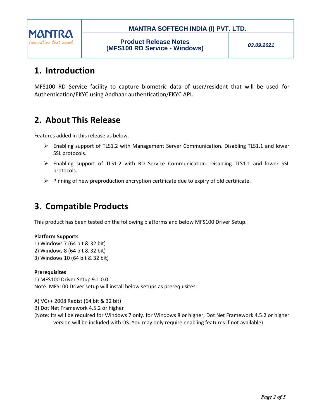

### **MANTRA SOFTECH INDIA (I) PVT. LTD.**

## **1. Introduction**

MFS100 RD Service facility to capture biometric data of user/resident that will be used for Authentication/EKYC using Aadhaar authentication/EKYC API.

# **2. About This Release**

Features added in this release as below.

- $\triangleright$  Enabling support of TLS1.2 with Management Server Communication. Disabling TLS1.1 and lower SSL protocols.
- $\triangleright$  Enabling support of TLS1.2 with RD Service Communication. Disabling TLS1.1 and lower SSL protocols.
- $\triangleright$  Pinning of new preproduction encryption certificate due to expiry of old certificate.

# **3. Compatible Products**

This product has been tested on the following platforms and below MFS100 Driver Setup.

### **Platform Supports**

- 1) Windows 7 (64 bit & 32 bit) 2) Windows 8 (64 bit & 32 bit)
- 3) Windows 10 (64 bit & 32 bit)

### **Prerequisites**

1) MFS100 Driver Setup 9.1.0.0 Note: MFS100 Driver setup will install below setups as prerequisites.

A) VC++ 2008 Redist (64 bit & 32 bit)

B) Dot Net Framework 4.5.2 or higher

(Note: Its will be required for Windows 7 only. for Windows 8 or higher, Dot Net Framework 4.5.2 or higher version will be included with OS. You may only require enabling features if not available)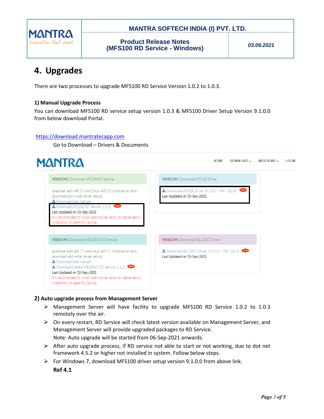

### **MANTRA SOFTECH INDIA (I) PVT. LTD.**

**Product Release Notes (MFS100 RD Service - Windows)**

*03.09.2021*

# **4. Upgrades**

There are two processes to upgrade MFS100 RD Service Version 1.0.2 to 1.0.3.

### **1) Manual Upgrade Process**

You can download MFS100 RD service setup version 1.0.3 & MFS100 Driver Setup Version 9.1.0.0 from below download Portal.

### [https://download.mantratecapp.com](https://download.mantratecapp.com/)

Go to Download – Drivers & Documents



### **2) Auto upgrade process from Management Server**

- Management Server will have facility to upgrade MFS100 RD Service 1.0.2 to 1.0.3 remotely over the air.
- $\triangleright$  On every restart, RD Service will check latest version available on Management Server, and Management Server will provide upgraded packages to RD Service. Note: Auto upgrade will be started from 06-Sep-2021 onwards.
- $\triangleright$  After auto upgrade process, if RD service not able to start or not working, due to dot net framework 4.5.2 or higher not installed in system. Follow below steps.
- $\triangleright$  For Windows 7, download MFS100 driver setup version 9.1.0.0 from above link. **Ref 4.1**